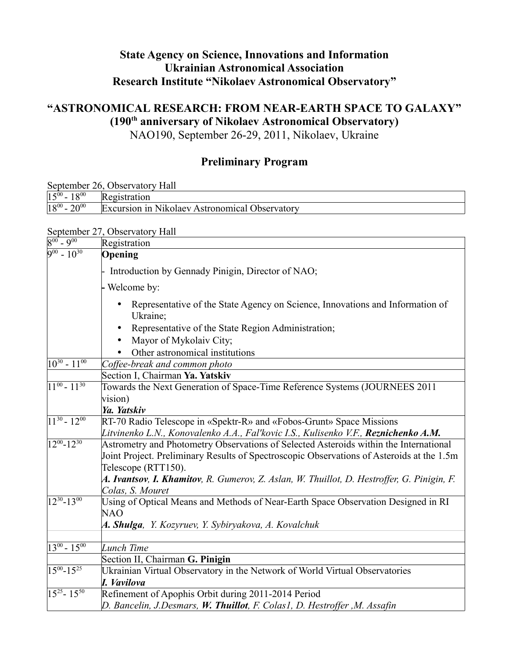# **State Agency on Science, Innovations and Information Ukrainian Astronomical Association Research Institute "Nikolaev Astronomical Observatory"**

# **"ASTRONOMICAL RESEARCH: FROM NEAR-EARTH SPACE TO GALAXY" (190th anniversary of Nikolaev Astronomical Observatory)**

NAO190, September 26-29, 2011, Nikolaev, Ukraine

# **Preliminary Program**

September 26, Observatory Hall

| $15^{00}$<br>1000<br>-<br>10 | Registration                                   |
|------------------------------|------------------------------------------------|
| $18^{00}$<br>$-20^{00}$      | Excursion in Nikolaev Astronomical Observatory |

### September 27, Observatory Hall

| $8^{00}$ - $9^{00}$        | Registration                                                                                    |
|----------------------------|-------------------------------------------------------------------------------------------------|
| $\sqrt{9^{00} - 10^{30}}$  | Opening                                                                                         |
|                            | Introduction by Gennady Pinigin, Director of NAO;                                               |
|                            | Welcome by:                                                                                     |
|                            | Representative of the State Agency on Science, Innovations and Information of<br>Ukraine;       |
|                            | Representative of the State Region Administration;                                              |
|                            | Mayor of Mykolaiv City;                                                                         |
|                            | Other astronomical institutions                                                                 |
| $10^{30} - 11^{00}$        | Coffee-break and common photo                                                                   |
|                            | Section I, Chairman Ya. Yatskiv                                                                 |
| $\sqrt{11^{00} - 11^{30}}$ | Towards the Next Generation of Space-Time Reference Systems (JOURNEES 2011                      |
|                            | vision)                                                                                         |
|                            | Ya. Yatskiv                                                                                     |
| $\sqrt{11^{30} - 12^{00}}$ | RT-70 Radio Telescope in «Spektr-R» and «Fobos-Grunt» Space Missions                            |
|                            | Litvinenko L.N., Konovalenko A.A., Fal'kovic I.S., Kulisenko V.F., Reznichenko A.M.             |
| $\sqrt{12^{00}-12^{30}}$   | Astrometry and Photometry Observations of Selected Asteroids within the International           |
|                            | Joint Project. Preliminary Results of Spectroscopic Observations of Asteroids at the 1.5m       |
|                            | Telescope (RTT150).                                                                             |
|                            | A. Ivantsov, I. Khamitov, R. Gumerov, Z. Aslan, W. Thuillot, D. Hestroffer, G. Pinigin, F.      |
|                            | Colas, S. Mouret                                                                                |
| $12^{30} - 13^{00}$        | Using of Optical Means and Methods of Near-Earth Space Observation Designed in RI<br><b>NAO</b> |
|                            | A. Shulga, Y. Kozyruev, Y. Sybiryakova, A. Kovalchuk                                            |
|                            |                                                                                                 |
| $13^{00} - 15^{00}$        | Lunch Time                                                                                      |
|                            | Section II, Chairman G. Pinigin                                                                 |
| $15^{00} - 15^{25}$        | Ukrainian Virtual Observatory in the Network of World Virtual Observatories                     |
|                            | I. Vavilova                                                                                     |
| $15^{25} - 15^{50}$        | Refinement of Apophis Orbit during 2011-2014 Period                                             |
|                            | D. Bancelin, J.Desmars, W. Thuillot, F. Colas1, D. Hestroffer, M. Assafin                       |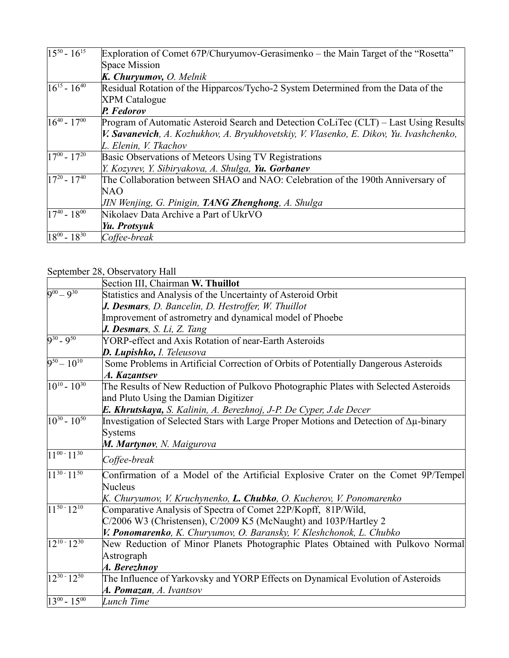| $15^{50} - 16^{15}$ | Exploration of Comet 67P/Churyumov-Gerasimenko – the Main Target of the "Rosetta"       |
|---------------------|-----------------------------------------------------------------------------------------|
|                     | Space Mission                                                                           |
|                     | K. Churyumov, O. Melnik                                                                 |
| $16^{15} - 16^{40}$ | Residual Rotation of the Hipparcos/Tycho-2 System Determined from the Data of the       |
|                     | <b>XPM</b> Catalogue                                                                    |
|                     | P. Fedorov                                                                              |
| $16^{40} - 17^{00}$ | Program of Automatic Asteroid Search and Detection CoLiTec (CLT) – Last Using Results   |
|                     | V. Savanevich, A. Kozhukhov, A. Bryukhovetskiy, V. Vlasenko, E. Dikov, Yu. Ivashchenko, |
|                     | L. Elenin, V. Tkachov                                                                   |
| $17^{00} - 17^{20}$ | Basic Observations of Meteors Using TV Registrations                                    |
|                     | Y. Kozyrev, Y. Sibiryakova, A. Shulga, Yu. Gorbanev                                     |
| $17^{20} - 17^{40}$ | The Collaboration between SHAO and NAO: Celebration of the 190th Anniversary of         |
|                     | NAO                                                                                     |
|                     | JIN Wenjing, G. Pinigin, <b>TANG Zhenghong</b> , A. Shulga                              |
| $17^{40} - 18^{00}$ | Nikolaev Data Archive a Part of UkrVO                                                   |
|                     | Yu. Protsyuk                                                                            |
| $18^{00} - 18^{30}$ | Coffee-break                                                                            |

### September 28, Observatory Hall

|                                 | Section III, Chairman W. Thuillot                                                               |
|---------------------------------|-------------------------------------------------------------------------------------------------|
| $9^{00} - 9^{30}$               | Statistics and Analysis of the Uncertainty of Asteroid Orbit                                    |
|                                 | J. Desmars, D. Bancelin, D. Hestroffer, W. Thuillot                                             |
|                                 | Improvement of astrometry and dynamical model of Phoebe                                         |
|                                 | <b>J. Desmars</b> , S. Li, Z. Tang                                                              |
| $9^{30} - 9^{50}$               | YORP-effect and Axis Rotation of near-Earth Asteroids                                           |
|                                 | <b>D. Lupishko, I. Teleusova</b>                                                                |
| $9^{50} - 10^{10}$              | Some Problems in Artificial Correction of Orbits of Potentially Dangerous Asteroids             |
|                                 | A. Kazantsev                                                                                    |
| $\sqrt{10^{10} - 10^{30}}$      | The Results of New Reduction of Pulkovo Photographic Plates with Selected Asteroids             |
|                                 | and Pluto Using the Damian Digitizer                                                            |
|                                 | E. Khrutskaya, S. Kalinin, A. Berezhnoj, J-P. De Cyper, J.de Decer                              |
| $\sqrt{10^{30} - 10^{50}}$      | Investigation of Selected Stars with Large Proper Motions and Detection of $\Delta \mu$ -binary |
|                                 | <b>Systems</b>                                                                                  |
|                                 | M. Martynov, N. Maigurova                                                                       |
| $\boxed{11^{00} \cdot 11^{30}}$ | Coffee-break                                                                                    |
| $\sqrt{11^{30} \cdot 11^{50}}$  | Confirmation of a Model of the Artificial Explosive Crater on the Comet 9P/Tempel               |
|                                 | Nucleus                                                                                         |
|                                 | K. Churyumov, V. Kruchynenko, <b>L. Chubko</b> , O. Kucherov, V. Ponomarenko                    |
| $\sqrt{11^{50} \cdot 12^{10}}$  | Comparative Analysis of Spectra of Comet 22P/Kopff, 81P/Wild,                                   |
|                                 | C/2006 W3 (Christensen), C/2009 K5 (McNaught) and 103P/Hartley 2                                |
|                                 | V. Ponomarenko, K. Churyumov, O. Baransky, V. Kleshchonok, L. Chubko                            |
| $\sqrt{12^{10}-12^{30}}$        | New Reduction of Minor Planets Photographic Plates Obtained with Pulkovo Normal                 |
|                                 | Astrograph                                                                                      |
|                                 | A. Berezhnoy                                                                                    |
| $\sqrt{12^{30} \cdot 12^{50}}$  | The Influence of Yarkovsky and YORP Effects on Dynamical Evolution of Asteroids                 |
|                                 | A. Pomazan, A. Ivantsov                                                                         |
| $13^{00} - 15^{00}$             | Lunch Time                                                                                      |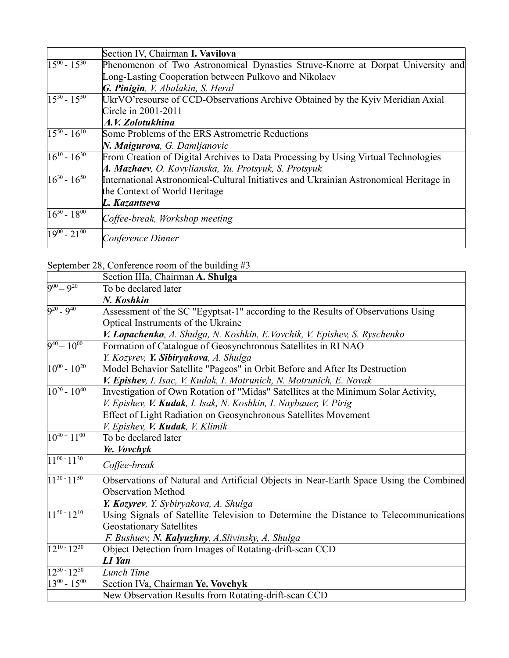|                            | Section IV, Chairman I. Vavilova                                                       |
|----------------------------|----------------------------------------------------------------------------------------|
| $15^{00} - 15^{30}$        | Phenomenon of Two Astronomical Dynasties Struve-Knorre at Dorpat University and        |
|                            | Long-Lasting Cooperation between Pulkovo and Nikolaev                                  |
|                            | G. Pinigin, V. Abalakin, S. Heral                                                      |
| $15^{30} - 15^{50}$        | UkrVO'resourse of CCD-Observations Archive Obtained by the Kyiv Meridian Axial         |
|                            | Circle in 2001-2011                                                                    |
|                            | A.V. Zolotukhina                                                                       |
| $15^{50} - 16^{10}$        | Some Problems of the ERS Astrometric Reductions                                        |
|                            | N. Maigurova, G. Damljanovic                                                           |
| $\sqrt{16^{10} - 16^{30}}$ | From Creation of Digital Archives to Data Processing by Using Virtual Technologies     |
|                            | A. Mazhaev, O. Kovylianska, Yu. Protsyuk, S. Protsyuk                                  |
| $16^{30} - 16^{50}$        | International Astronomical-Cultural Initiatives and Ukrainian Astronomical Heritage in |
|                            | the Context of World Heritage                                                          |
|                            | L. Kazantseva                                                                          |
| $16^{50} - 18^{00}$        | Coffee-break, Workshop meeting                                                         |
| $\sqrt{19^{00} - 21^{00}}$ | Conference Dinner                                                                      |

### September 28, Conference room of the building #3

|                                | Section IIIa, Chairman A. Shulga                                                      |
|--------------------------------|---------------------------------------------------------------------------------------|
| $9^{00} - 9^{20}$              | To be declared later                                                                  |
|                                | N. Koshkin                                                                            |
| $9^{20}$ - $9^{40}$            | Assessment of the SC "Egyptsat-1" according to the Results of Observations Using      |
|                                | Optical Instruments of the Ukraine                                                    |
|                                | V. Lopachenko, A. Shulga, N. Koshkin, E. Vovchik, V. Epishev, S. Ryschenko            |
| $9^{40} - 10^{00}$             | Formation of Catalogue of Geosynchronous Satellites in RI NAO                         |
|                                | Y. Kozyrev, Y. Sibiryakova, A. Shulga                                                 |
| $\sqrt{10^{00} - 10^{20}}$     | Model Behavior Satellite "Pageos" in Orbit Before and After Its Destruction           |
|                                | V. Epishev, I. Isac, V. Kudak, I. Motrunich, N. Motrunich, E. Novak                   |
| $10^{20} - 10^{40}$            | Investigation of Own Rotation of "Midas" Satellites at the Minimum Solar Activity,    |
|                                | V. Epishev, V. Kudak, I. Isak, N. Koshkin, I. Naybauer, V. Pirig                      |
|                                | Effect of Light Radiation on Geosynchronous Satellites Movement                       |
|                                | V. Epishev, V. <b>Kudak</b> , V. Klimik                                               |
| $\sqrt{10^{40} - 11^{00}}$     | To be declared later                                                                  |
|                                | Ye. Vovchyk                                                                           |
| $11^{00} - 11^{30}$            | Coffee-break                                                                          |
| $11^{30} - 11^{50}$            | Observations of Natural and Artificial Objects in Near-Earth Space Using the Combined |
|                                | <b>Observation Method</b>                                                             |
|                                | Y. Kozyrev, Y. Sybiryakova, A. Shulga                                                 |
| $11^{50} - 12^{10}$            | Using Signals of Satellite Television to Determine the Distance to Telecommunications |
|                                | <b>Geostationary Satellites</b>                                                       |
|                                | F. Bushuev, N. Kalyuzhny, A. Slivinsky, A. Shulga                                     |
| $\sqrt{12^{10}-12^{30}}$       | Object Detection from Images of Rotating-drift-scan CCD                               |
|                                | LI Yan                                                                                |
| $\sqrt{12^{30} \cdot 12^{50}}$ | Lunch Time                                                                            |
| $13^{00} - 15^{00}$            | Section IVa, Chairman Ye. Vovchyk                                                     |
|                                | New Observation Results from Rotating-drift-scan CCD                                  |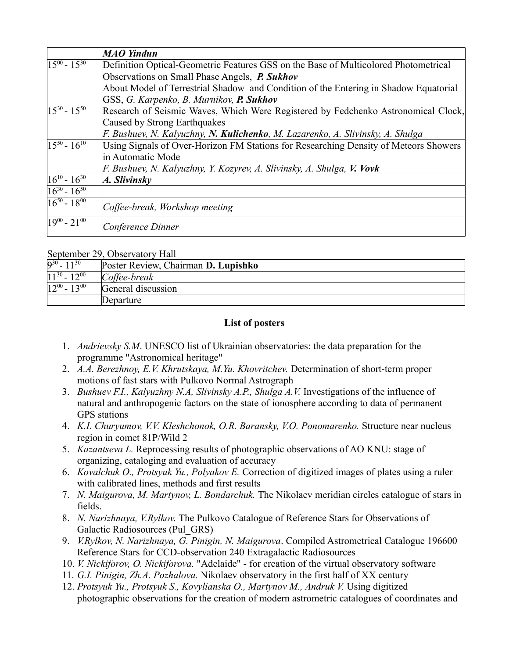|                            | <b>MAO</b> Yindun                                                                       |
|----------------------------|-----------------------------------------------------------------------------------------|
| $15^{00} - 15^{30}$        | Definition Optical-Geometric Features GSS on the Base of Multicolored Photometrical     |
|                            | Observations on Small Phase Angels, P. Sukhov                                           |
|                            | About Model of Terrestrial Shadow and Condition of the Entering in Shadow Equatorial    |
|                            | GSS, G. Karpenko, B. Murnikov, P. Sukhov                                                |
| $15^{30} - 15^{50}$        | Research of Seismic Waves, Which Were Registered by Fedchenko Astronomical Clock,       |
|                            | Caused by Strong Earthquakes                                                            |
|                            | F. Bushuev, N. Kalyuzhny, N <b>. Kulichenko</b> , M. Lazarenko, A. Slivinsky, A. Shulga |
| $15^{50} - 16^{10}$        | Using Signals of Over-Horizon FM Stations for Researching Density of Meteors Showers    |
|                            | in Automatic Mode                                                                       |
|                            | F. Bushuev, N. Kalyuzhny, Y. Kozyrev, A. Slivinsky, A. Shulga, V. Vovk                  |
| $16^{10} - 16^{30}$        | A. Slivinsky                                                                            |
| $16^{30} - 16^{50}$        |                                                                                         |
| $16^{50} - 18^{00}$        | Coffee-break, Workshop meeting                                                          |
| $\sqrt{19^{00} - 21^{00}}$ | Conference Dinner                                                                       |

#### September 29, Observatory Hall

| $9^{30} - 11^{30}$  | Poster Review, Chairman D. Lupishko |
|---------------------|-------------------------------------|
| $11^{30} - 12^{00}$ | $C$ <i>offee-break</i>              |
| $12^{00} - 13^{00}$ | General discussion                  |
|                     | Departure                           |

#### **List of posters**

- 1. *Andrievsky S.M*. UNESCO list of Ukrainian observatories: the data preparation for the programme "Astronomical heritage"
- 2. *A.A. Berezhnoy, E.V. Khrutskaya, M.Yu. Khovritchev.* Determination of short-term proper motions of fast stars with Pulkovo Normal Astrograph
- 3. *Bushuev F.I., Kalyuzhny N.A, Slivinsky A.P., Shulga A.V.* Investigations of the influence of natural and anthropogenic factors on the state of ionosphere according to data of permanent GPS stations
- 4. *K.I. Churyumov, V.V. Kleshchonok, O.R. Baransky, V.O. Ponomarenko.* Structure near nucleus region in comet 81P/Wild 2
- 5. *Kazantseva L.* Reprocessing results of photographic observations of AO KNU: stage of organizing, cataloging and evaluation of accuracy
- 6. *Kovalchuk O., Protsyuk Yu., Polyakov E.* Correction of digitized images of plates using a ruler with calibrated lines, methods and first results
- 7. *N. Maigurova, M. Martynov, L. Bondarchuk.* The Nikolaev meridian circles catalogue of stars in fields.
- 8. *N. Narizhnaya, V.Rylkov.* The Pulkovo Catalogue of Reference Stars for Observations of Galactic Radiosources (Pul\_GRS)
- 9. *V.Rylkov, N. Narizhnaya, G. Pinigin, N. Maigurova*. Compiled Astrometrical Catalogue 196600 Reference Stars for CCD-observation 240 Extragalactic Radiosources
- 10. *V. Nickiforov, O. Nickiforova.* "Adelaide" for creation of the virtual observatory software
- 11. *G.I. Pinigin, Zh.A. Pozhalova.* Nikolaev observatory in the first half of XX century
- 12. *Protsyuk Yu., Protsyuk S., Kovylianska O., Martynov M., Andruk V.* Using digitized photographic observations for the creation of modern astrometric catalogues of coordinates and